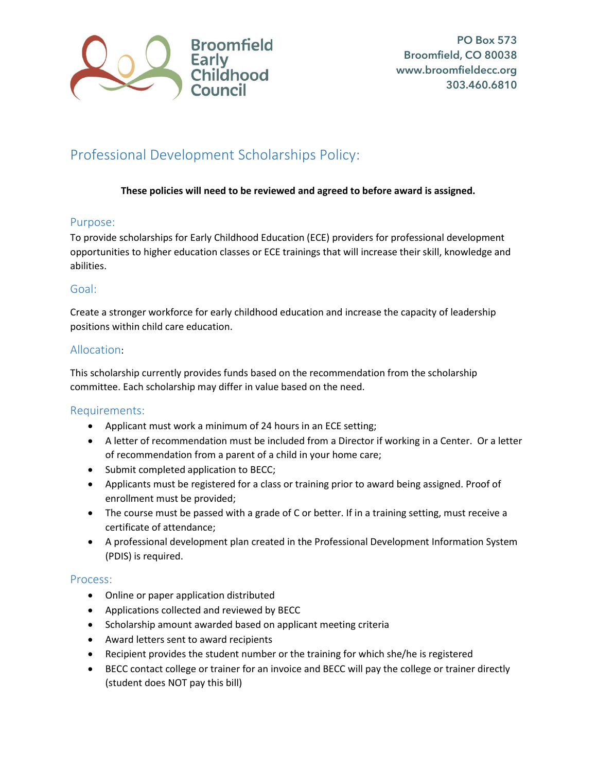

# Professional Development Scholarships Policy:

# **These policies will need to be reviewed and agreed to before award is assigned.**

# Purpose:

To provide scholarships for Early Childhood Education (ECE) providers for professional development opportunities to higher education classes or ECE trainings that will increase their skill, knowledge and abilities.

# Goal:

Create a stronger workforce for early childhood education and increase the capacity of leadership positions within child care education.

# Allocation:

This scholarship currently provides funds based on the recommendation from the scholarship committee. Each scholarship may differ in value based on the need.

### Requirements:

- Applicant must work a minimum of 24 hours in an ECE setting;
- A letter of recommendation must be included from a Director if working in a Center. Or a letter of recommendation from a parent of a child in your home care;
- Submit completed application to BECC;
- Applicants must be registered for a class or training prior to award being assigned. Proof of enrollment must be provided;
- The course must be passed with a grade of C or better. If in a training setting, must receive a certificate of attendance;
- A professional development plan created in the Professional Development Information System (PDIS) is required.

### Process:

- Online or paper application distributed
- Applications collected and reviewed by BECC
- Scholarship amount awarded based on applicant meeting criteria
- Award letters sent to award recipients
- Recipient provides the student number or the training for which she/he is registered
- BECC contact college or trainer for an invoice and BECC will pay the college or trainer directly (student does NOT pay this bill)